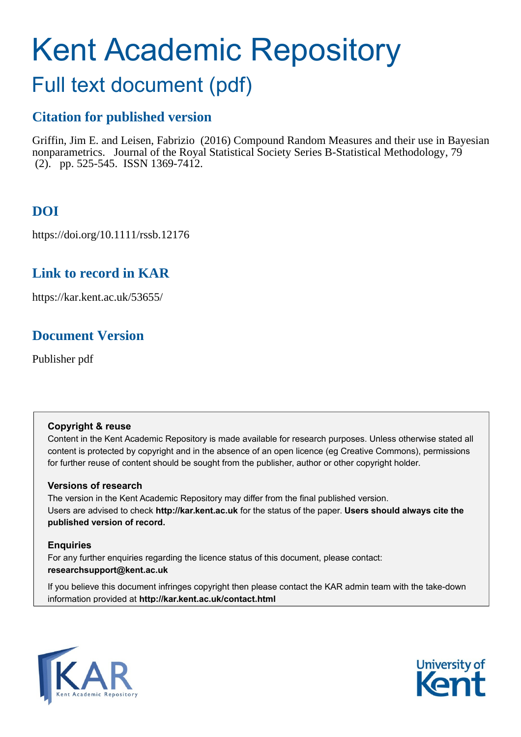# Kent Academic Repository

## Full text document (pdf)

## **Citation for published version**

Griffin, Jim E. and Leisen, Fabrizio (2016) Compound Random Measures and their use in Bayesian nonparametrics. Journal of the Royal Statistical Society Series B-Statistical Methodology, 79 (2). pp. 525-545. ISSN 1369-7412.

## **DOI**

https://doi.org/10.1111/rssb.12176

## **Link to record in KAR**

https://kar.kent.ac.uk/53655/

## **Document Version**

Publisher pdf

#### **Copyright & reuse**

Content in the Kent Academic Repository is made available for research purposes. Unless otherwise stated all content is protected by copyright and in the absence of an open licence (eg Creative Commons), permissions for further reuse of content should be sought from the publisher, author or other copyright holder.

#### **Versions of research**

The version in the Kent Academic Repository may differ from the final published version. Users are advised to check **http://kar.kent.ac.uk** for the status of the paper. **Users should always cite the published version of record.**

#### **Enquiries**

For any further enquiries regarding the licence status of this document, please contact: **researchsupport@kent.ac.uk**

If you believe this document infringes copyright then please contact the KAR admin team with the take-down information provided at **http://kar.kent.ac.uk/contact.html**



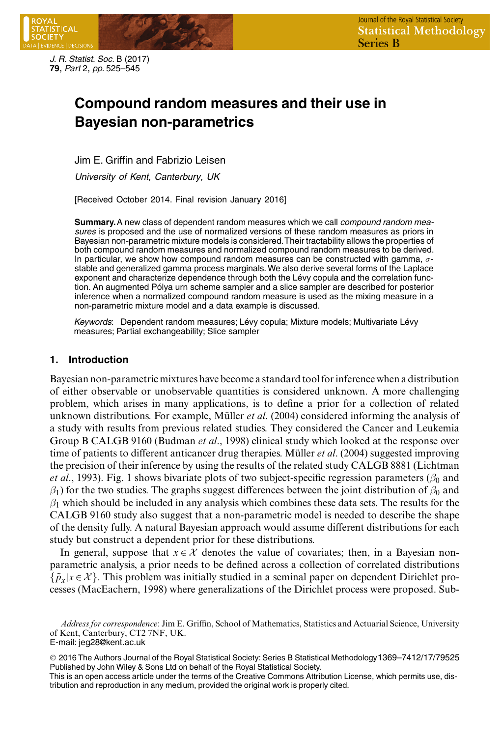

*J. R. Statist. Soc.* B (2017) **79**, *Part* 2, *pp.* 525–545

### **Compound random measures and their use in Bayesian non-parametrics**

Jim E. Griffin and Fabrizio Leisen

*University of Kent, Canterbury, UK*

[Received October 2014. Final revision January 2016]

**Summary.**A new class of dependent random measures which we call *compound random measures* is proposed and the use of normalized versions of these random measures as priors in Bayesian non-parametric mixture models is considered.Their tractability allows the properties of both compound random measures and normalized compound random measures to be derived. In particular, we show how compound random measures can be constructed with gamma,  $\sigma$ stable and generalized gamma process marginals. We also derive several forms of the Laplace exponent and characterize dependence through both the Lévy copula and the correlation function. An augmented Pólya urn scheme sampler and a slice sampler are described for posterior inference when a normalized compound random measure is used as the mixing measure in a non-parametric mixture model and a data example is discussed.

*Keywords*: Dependent random measures; Lévy copula; Mixture models; Multivariate Lévy measures; Partial exchangeability; Slice sampler

#### **1. Introduction**

Bayesian non-parametric mixtures have become a standard tool for inference when a distribution of either observable or unobservable quantities is considered unknown. A more challenging problem, which arises in many applications, is to define a prior for a collection of related unknown distributions. For example, Müller *et al.* (2004) considered informing the analysis of a study with results from previous related studies. They considered the Cancer and Leukemia Group B CALGB 9160 (Budman *et al*., 1998) clinical study which looked at the response over time of patients to different anticancer drug therapies. Müller *et al.* (2004) suggested improving the precision of their inference by using the results of the related study CALGB 8881 (Lichtman *et al.*, 1993). Fig. 1 shows bivariate plots of two subject-specific regression parameters ( $\beta_0$  and  $\beta_1$ ) for the two studies. The graphs suggest differences between the joint distribution of  $\beta_0$  and  $\beta_1$  which should be included in any analysis which combines these data sets. The results for the CALGB 9160 study also suggest that a non-parametric model is needed to describe the shape of the density fully. A natural Bayesian approach would assume different distributions for each study but construct a dependent prior for these distributions.

In general, suppose that  $x \in \mathcal{X}$  denotes the value of covariates; then, in a Bayesian nonparametric analysis, a prior needs to be defined across a collection of correlated distributions  $\{\tilde{p}_x|x \in \mathcal{X}\}\.$  This problem was initially studied in a seminal paper on dependent Dirichlet processes (MacEachern, 1998) where generalizations of the Dirichlet process were proposed. Sub-

*Address for correspondence*: Jim E. Griffin, School of Mathematics, Statistics and Actuarial Science, University of Kent, Canterbury, CT2 7NF, UK.

E-mail: jeg28@kent.ac.uk

<sup>©</sup> 2016 The Authors Journal of the Royal Statistical Society: Series B Statistical Methodology 1369–7412/17/79525 Published by John Wiley & Sons Ltd on behalf of the Royal Statistical Society.

This is an open access article under the terms of the Creative Commons Attribution License, which permits use, distribution and reproduction in any medium, provided the original work is properly cited.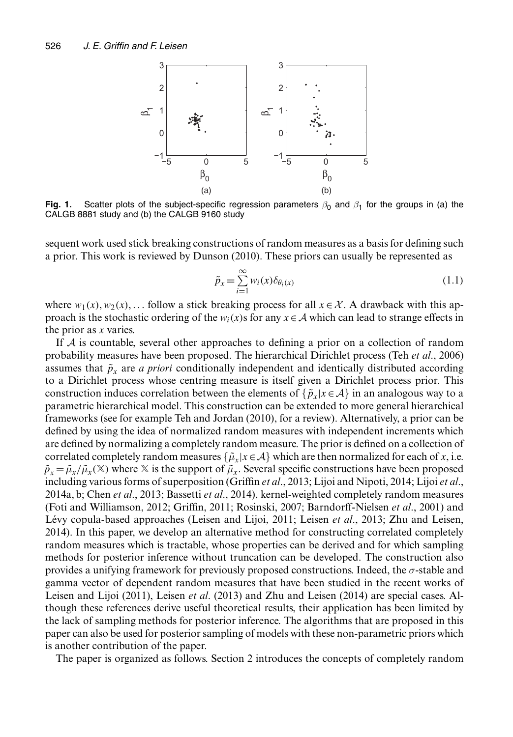

**Fig. 1.** Scatter plots of the subject-specific regression parameters  $\beta_0$  and  $\beta_1$  for the groups in (a) the CALGB 8881 study and (b) the CALGB 9160 study

sequent work used stick breaking constructions of random measures as a basis for defining such a prior. This work is reviewed by Dunson (2010). These priors can usually be represented as

$$
\tilde{p}_x = \sum_{i=1}^{\infty} w_i(x) \delta_{\theta_i(x)}
$$
\n(1.1)

where  $w_1(x), w_2(x), \ldots$  follow a stick breaking process for all  $x \in \mathcal{X}$ . A drawback with this approach is the stochastic ordering of the  $w_i(x)$  for any  $x \in A$  which can lead to strange effects in the prior as x varies.

If  $A$  is countable, several other approaches to defining a prior on a collection of random probability measures have been proposed. The hierarchical Dirichlet process (Teh *et al*., 2006) assumes that  $\tilde{p}_x$  are *a priori* conditionally independent and identically distributed according to a Dirichlet process whose centring measure is itself given a Dirichlet process prior. This construction induces correlation between the elements of  $\{\tilde{p}_x|x \in \mathcal{A}\}\$  in an analogous way to a parametric hierarchical model. This construction can be extended to more general hierarchical frameworks (see for example Teh and Jordan (2010), for a review). Alternatively, a prior can be defined by using the idea of normalized random measures with independent increments which are defined by normalizing a completely random measure. The prior is defined on a collection of correlated completely random measures  $\{\tilde{\mu}_x|x \in \mathcal{A}\}\$  which are then normalized for each of x, i.e.  $\tilde{p}_x = \tilde{\mu}_x / \tilde{\mu}_x(\mathbb{X})$  where X is the support of  $\tilde{\mu}_x$ . Several specific constructions have been proposed including various forms of superposition (Griffin *et al*., 2013; Lijoi and Nipoti, 2014; Lijoi *et al*., 2014a, b; Chen *et al*., 2013; Bassetti *et al*., 2014), kernel-weighted completely random measures (Foti and Williamson, 2012; Griffin, 2011; Rosinski, 2007; Barndorff-Nielsen *et al*., 2001) and Lévy copula-based approaches (Leisen and Lijoi, 2011; Leisen *et al.*, 2013; Zhu and Leisen, 2014). In this paper, we develop an alternative method for constructing correlated completely random measures which is tractable, whose properties can be derived and for which sampling methods for posterior inference without truncation can be developed. The construction also provides a unifying framework for previously proposed constructions. Indeed, the σ-stable and gamma vector of dependent random measures that have been studied in the recent works of Leisen and Lijoi (2011), Leisen *et al*. (2013) and Zhu and Leisen (2014) are special cases. Although these references derive useful theoretical results, their application has been limited by the lack of sampling methods for posterior inference. The algorithms that are proposed in this paper can also be used for posterior sampling of models with these non-parametric priors which is another contribution of the paper.

The paper is organized as follows. Section 2 introduces the concepts of completely random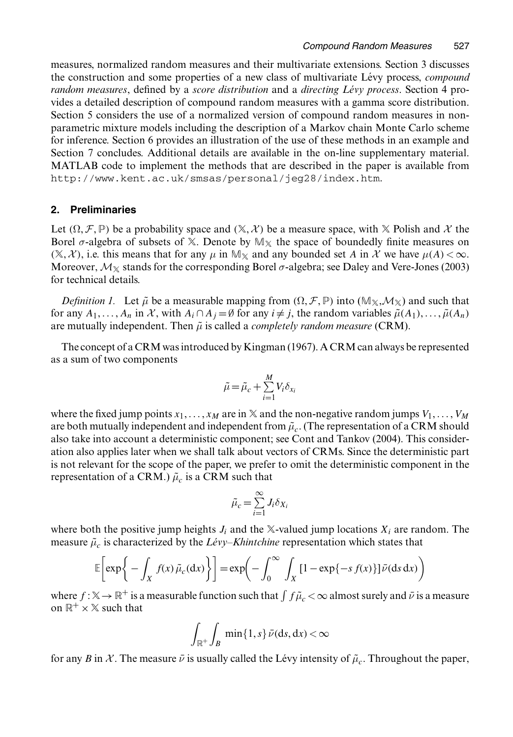measures, normalized random measures and their multivariate extensions. Section 3 discusses the construction and some properties of a new class of multivariate Lévy process, *compound random measures*, defined by a *score distribution* and a *directing Levy process ´* . Section 4 provides a detailed description of compound random measures with a gamma score distribution. Section 5 considers the use of a normalized version of compound random measures in nonparametric mixture models including the description of a Markov chain Monte Carlo scheme for inference. Section 6 provides an illustration of the use of these methods in an example and Section 7 concludes. Additional details are available in the on-line supplementary material. MATLAB code to implement the methods that are described in the paper is available from http://www.kent.ac.uk/smsas/personal/jeg28/index.htm.

#### **2. Preliminaries**

Let  $(\Omega, \mathcal{F}, \mathbb{P})$  be a probability space and  $(\mathbb{X}, \mathcal{X})$  be a measure space, with  $\mathbb{X}$  Polish and X the Borel  $\sigma$ -algebra of subsets of X. Denote by  $\mathbb{M}_{\mathbb{X}}$  the space of boundedly finite measures on  $(\mathbb{X}, \mathcal{X})$ , i.e. this means that for any  $\mu$  in  $\mathbb{M}_{\mathbb{X}}$  and any bounded set A in X we have  $\mu(A) < \infty$ . Moreover,  $\mathcal{M}_{\mathbb{X}}$  stands for the corresponding Borel  $\sigma$ -algebra; see Daley and Vere-Jones (2003) for technical details.

*Definition 1.* Let  $\tilde{\mu}$  be a measurable mapping from  $(\Omega, \mathcal{F}, \mathbb{P})$  into  $(\mathbb{M}_{\mathbb{X}}, \mathcal{M}_{\mathbb{X}})$  and such that for any  $A_1, \ldots, A_n$  in X, with  $A_i \cap A_j = \emptyset$  for any  $i \neq j$ , the random variables  $\tilde{\mu}(A_1), \ldots, \tilde{\mu}(A_n)$ are mutually independent. Then  $\tilde{\mu}$  is called a *completely random measure* (CRM).

The concept of a CRM was introduced by Kingman (1967). A CRM can always be represented as a sum of two components

$$
\tilde{\mu} = \tilde{\mu}_c + \sum_{i=1}^{M} V_i \delta_{x_i}
$$

where the fixed jump points  $x_1, \ldots, x_M$  are in  $\mathbb X$  and the non-negative random jumps  $V_1, \ldots, V_M$ are both mutually independent and independent from  $\tilde{\mu}_c$ . (The representation of a CRM should also take into account a deterministic component; see Cont and Tankov (2004). This consideration also applies later when we shall talk about vectors of CRMs. Since the deterministic part is not relevant for the scope of the paper, we prefer to omit the deterministic component in the representation of a CRM.)  $\tilde{\mu}_c$  is a CRM such that

$$
\tilde{\mu}_c = \sum_{i=1}^{\infty} J_i \delta_{X_i}
$$

where both the positive jump heights  $J_i$  and the X-valued jump locations  $X_i$  are random. The measure  $\tilde{\mu}_c$  is characterized by the *Lévy–Khintchine* representation which states that

$$
\mathbb{E}\left[\exp\bigg\{-\int_X f(x)\,\tilde{\mu}_c(\mathrm{d}x)\bigg\}\right] = \exp\bigg(-\int_0^\infty \int_X [1 - \exp\{-s\,f(x)\}]\,\tilde{\nu}(\mathrm{d} s\,\mathrm{d}x)\bigg)
$$

where  $f : \mathbb{X} \to \mathbb{R}^+$  is a measurable function such that  $\int f \tilde{\mu}_c < \infty$  almost surely and  $\bar{\nu}$  is a measure<br>on  $\mathbb{R}^+ \times \mathbb{X}$  such that on  $\mathbb{R}^+ \times \mathbb{X}$  such that

$$
\int_{\mathbb{R}^+} \int_B \min\{1, s\} \, \bar{\nu}(\mathrm{d}s, \mathrm{d}x) < \infty
$$

for any B in X. The measure  $\bar{\nu}$  is usually called the Lévy intensity of  $\tilde{\mu}_c$ . Throughout the paper,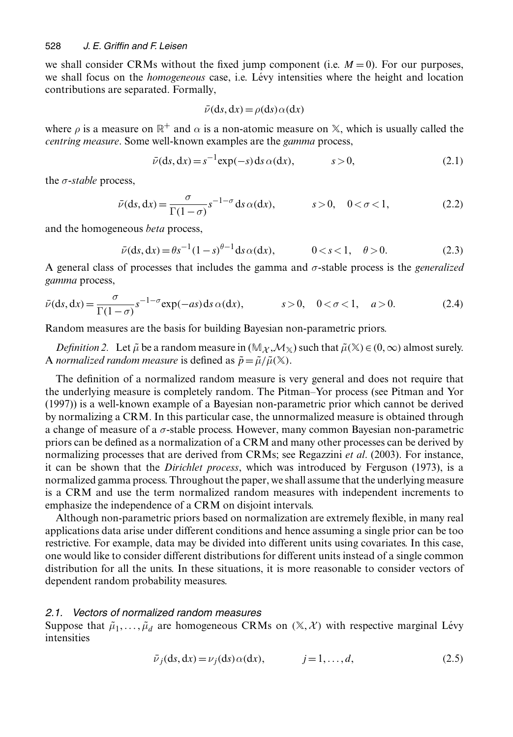we shall consider CRMs without the fixed jump component (i.e.  $M = 0$ ). For our purposes, we shall focus on the *homogeneous* case, i.e. Lévy intensities where the height and location contributions are separated. Formally,

$$
\bar{\nu}(\mathrm{d}s,\mathrm{d}x) = \rho(\mathrm{d}s)\,\alpha(\mathrm{d}x)
$$

where  $\rho$  is a measure on  $\mathbb{R}^+$  and  $\alpha$  is a non-atomic measure on  $\mathbb{X}$ , which is usually called the *centring measure*. Some well-known examples are the *gamma* process,

$$
\bar{\nu}(\mathrm{d}s, \mathrm{d}x) = s^{-1} \exp(-s) \, \mathrm{d}s \, \alpha(\mathrm{d}x), \qquad s > 0,\tag{2.1}
$$

the σ-*stable* process,

$$
\bar{\nu}(\mathrm{d}s, \mathrm{d}x) = \frac{\sigma}{\Gamma(1-\sigma)} s^{-1-\sigma} \mathrm{d}s \,\alpha(\mathrm{d}x), \qquad s > 0, \quad 0 < \sigma < 1,\tag{2.2}
$$

and the homogeneous *beta* process,

$$
\bar{\nu}(\mathrm{d}s, \mathrm{d}x) = \theta s^{-1} (1 - s)^{\theta - 1} \mathrm{d}s \alpha(\mathrm{d}x), \qquad 0 < s < 1, \quad \theta > 0. \tag{2.3}
$$

A general class of processes that includes the gamma and  $\sigma$ -stable process is the *generalized* gamma process *gamma* process,

$$
\bar{\nu}(\mathrm{d}s, \mathrm{d}x) = \frac{\sigma}{\Gamma(1-\sigma)} s^{-1-\sigma} \exp(-as) \mathrm{d}s \, \alpha(\mathrm{d}x), \qquad s > 0, \quad 0 < \sigma < 1, \quad a > 0. \tag{2.4}
$$

Random measures are the basis for building Bayesian non-parametric priors.

*Definition 2.* Let  $\tilde{\mu}$  be a random measure in  $(\mathbb{M}_{\mathcal{X}}, \mathcal{M}_{\mathcal{X}})$  such that  $\tilde{\mu}(\mathcal{X}) \in (0, \infty)$  almost surely. A *normalized random measure* is defined as  $\tilde{p} = \tilde{\mu}/\tilde{\mu}(\mathbb{X})$ .

The definition of a normalized random measure is very general and does not require that the underlying measure is completely random. The Pitman–Yor process (see Pitman and Yor (1997)) is a well-known example of a Bayesian non-parametric prior which cannot be derived by normalizing a CRM. In this particular case, the unnormalized measure is obtained through a change of measure of a  $\sigma$ -stable process. However, many common Bayesian non-parametric priors can be defined as a normalization of a CRM and many other processes can be derived by normalizing processes that are derived from CRMs; see Regazzini *et al*. (2003). For instance, it can be shown that the *Dirichlet process*, which was introduced by Ferguson (1973), is a normalized gamma process. Throughout the paper, we shall assume that the underlying measure is a CRM and use the term normalized random measures with independent increments to emphasize the independence of a CRM on disjoint intervals.

Although non-parametric priors based on normalization are extremely flexible, in many real applications data arise under different conditions and hence assuming a single prior can be too restrictive. For example, data may be divided into different units using covariates. In this case, one would like to consider different distributions for different units instead of a single common distribution for all the units. In these situations, it is more reasonable to consider vectors of dependent random probability measures.

#### *2.1. Vectors of normalized random measures*

Suppose that  $\tilde{\mu}_1, \ldots, \tilde{\mu}_d$  are homogeneous CRMs on  $(\mathbb{X}, \mathcal{X})$  with respective marginal Lévy intensities

$$
\bar{\nu}_j(ds, dx) = \nu_j(ds) \alpha(dx), \qquad j = 1, \dots, d,
$$
\n(2.5)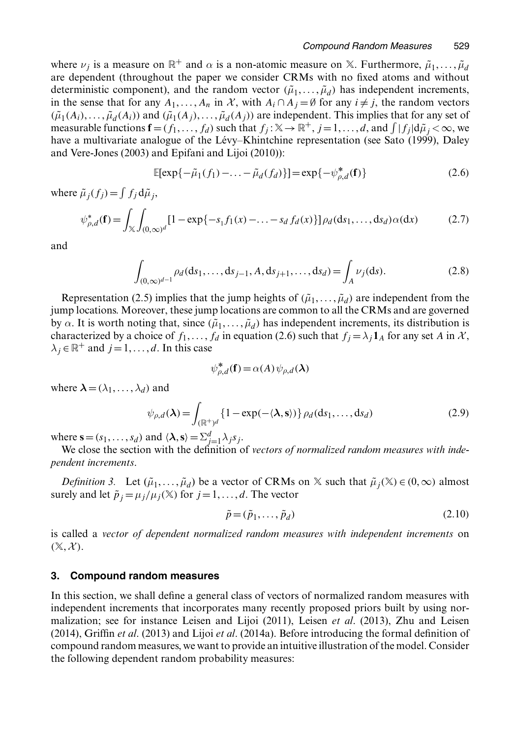where  $\nu_i$  is a measure on  $\mathbb{R}^+$  and  $\alpha$  is a non-atomic measure on X. Furthermore,  $\tilde{\mu}_1, \ldots, \tilde{\mu}_d$ are dependent (throughout the paper we consider CRMs with no fixed atoms and without deterministic component), and the random vector  $(\tilde{\mu}_1, \ldots, \tilde{\mu}_d)$  has independent increments, in the sense that for any  $A_1, \ldots, A_n$  in X, with  $A_i \cap A_j = \emptyset$  for any  $i \neq j$ , the random vectors  $(\tilde{\mu}_1(A_i), \ldots, \tilde{\mu}_d(A_i))$  and  $(\tilde{\mu}_1(A_j), \ldots, \tilde{\mu}_d(A_j))$  are independent. This implies that for any set of measurable functions  $\mathbf{f} = (f_1, \ldots, f_d)$  such that  $f_j : \mathbb{X} \to \mathbb{R}^+, j = 1, \ldots, d$ , and  $\int |f_j| d\tilde{\mu}_j < \infty$ , we have a multivariate analogue of the Lévy–K hintchine representation (see Sato (1999). Dalev have a multivariate analogue of the Lévy–Khintchine representation (see Sato (1999), Daley and Vere-Jones (2003) and Epifani and Lijoi (2010)):

$$
\mathbb{E}[\exp\{-\tilde{\mu}_1(f_1) - \dots - \tilde{\mu}_d(f_d)\}] = \exp\{-\psi_{\rho,d}^*(\mathbf{f})\}
$$
(2.6)

where  $\tilde{\mu}_j(f_j) = \int f_j d\tilde{\mu}_j$ ,

$$
\psi_{\rho,d}^*(\mathbf{f}) = \int_{\mathbb{X}} \int_{(0,\infty)^d} [1 - \exp\{-s_1 f_1(x) - \dots - s_d f_d(x)\}] \rho_d(\mathrm{d}s_1, \dots, \mathrm{d}s_d) \alpha(\mathrm{d}x) \tag{2.7}
$$

and

$$
\int_{(0,\infty)^{d-1}} \rho_d(\mathrm{d}s_1,\ldots,\mathrm{d}s_{j-1},A,\mathrm{d}s_{j+1},\ldots,\mathrm{d}s_d) = \int_A \nu_j(\mathrm{d}s). \tag{2.8}
$$

Representation (2.5) implies that the jump heights of  $(\tilde{\mu}_1, \ldots, \tilde{\mu}_d)$  are independent from the jump locations. Moreover, these jump locations are common to all the CRMs and are governed by  $\alpha$ . It is worth noting that, since  $(\tilde{\mu}_1, \ldots, \tilde{\mu}_d)$  has independent increments, its distribution is characterized by a choice of  $f_1, \ldots, f_d$  in equation (2.6) such that  $f_i = \lambda_i \mathbf{1}_A$  for any set A in X,  $\lambda_j \in \mathbb{R}^+$  and  $j = 1, \ldots, d$ . In this case

$$
\psi_{\rho,d}^*(\mathbf{f}) = \alpha(A) \psi_{\rho,d}(\boldsymbol{\lambda})
$$

where  $\lambda = (\lambda_1, \dots, \lambda_d)$  and

$$
\psi_{\rho,d}(\lambda) = \int_{(\mathbb{R}^+)^d} \{1 - \exp(-\langle \lambda, \mathbf{s} \rangle) \} \rho_d(\mathrm{d}s_1, \dots, \mathrm{d}s_d) \tag{2.9}
$$

where **s** =  $(s_1, ..., s_d)$  and  $\langle \lambda, \mathbf{s} \rangle = \sum_{j=1}^d \lambda_j s_j$ .<br>We close the section with the definition c

We close the section with the definition of *vectors of normalized random measures with independent increments*.

*Definition 3.* Let  $(\tilde{\mu}_1, \ldots, \tilde{\mu}_d)$  be a vector of CRMs on  $\mathbb{X}$  such that  $\tilde{\mu}_i(\mathbb{X}) \in (0, \infty)$  almost surely and let  $\tilde{p}_i = \mu_i/\mu_i(\mathbb{X})$  for  $j = 1, ..., d$ . The vector

$$
\tilde{p} = (\tilde{p}_1, \dots, \tilde{p}_d) \tag{2.10}
$$

is called a *vector of dependent normalized random measures with independent increments* on  $(\mathbb{X}, \mathcal{X})$ .

#### **3. Compound random measures**

In this section, we shall define a general class of vectors of normalized random measures with independent increments that incorporates many recently proposed priors built by using normalization; see for instance Leisen and Lijoi (2011), Leisen *et al*. (2013), Zhu and Leisen (2014), Griffin *et al*. (2013) and Lijoi *et al*. (2014a). Before introducing the formal definition of compound random measures, we want to provide an intuitive illustration of the model. Consider the following dependent random probability measures: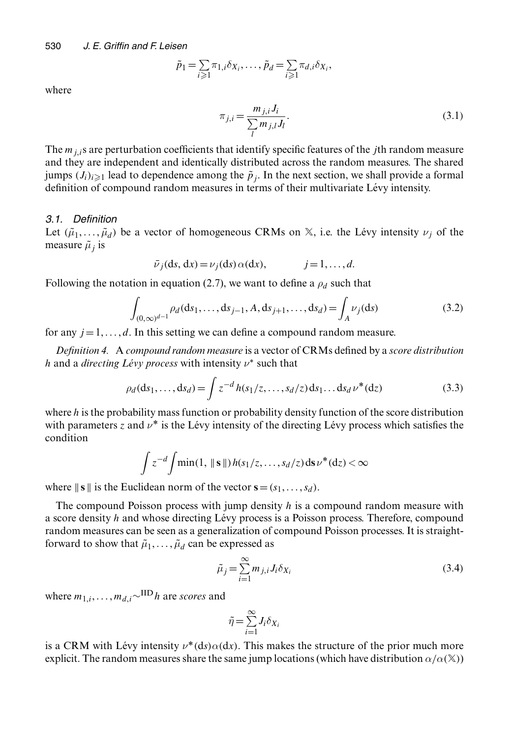$$
\tilde{p}_1 = \sum_{i \geq 1} \pi_{1,i} \delta_{X_i}, \dots, \tilde{p}_d = \sum_{i \geq 1} \pi_{d,i} \delta_{X_i},
$$

where

$$
\pi_{j,i} = \frac{m_{j,i} J_i}{\sum_l m_{j,l} J_l}.
$$
\n(3.1)

The  $m_{i,i}$ s are perturbation coefficients that identify specific features of the *j*th random measure and they are independent and identically distributed across the random measures. The shared jumps  $(J_i)_{i\geq 1}$  lead to dependence among the  $\tilde{p}_j$ . In the next section, we shall provide a formal definition of compound random measures in terms of their multivariate Lévy intensity.

#### *3.1. Definition*

Let  $(\tilde{\mu}_1, \ldots, \tilde{\mu}_d)$  be a vector of homogeneous CRMs on  $\mathbb{X}$ , i.e. the Lévy intensity  $\nu_i$  of the measure  $\tilde{\mu}$  is

$$
\bar{\nu}_j(\mathrm{d}s, \mathrm{d}x) = \nu_j(\mathrm{d}s) \alpha(\mathrm{d}x),
$$
   
  $j = 1, ..., d.$ 

Following the notation in equation (2.7), we want to define a  $\rho_d$  such that

$$
\int_{(0,\infty)^{d-1}} \rho_d(ds_1,\ldots,ds_{j-1},A,ds_{j+1},\ldots,ds_d) = \int_A \nu_j(ds)
$$
\n(3.2)

for any  $j = 1, \ldots, d$ . In this setting we can define a compound random measure.

*Definition 4.* A *compound random measure* is a vector of CRMs defined by a *score distribution* h and a *directing Lévy process* with intensity  $\nu^*$  such that

$$
\rho_d(ds_1, ..., ds_d) = \int z^{-d} h(s_1/z, ..., s_d/z) ds_1... ds_d \nu^*(dz)
$$
\n(3.3)

where h is the probability mass function or probability density function of the score distribution with parameters z and  $\nu^*$  is the Lévy intensity of the directing Lévy process which satisfies the condition

$$
\int z^{-d} \int \min(1, \| \mathbf{s} \|) h(s_1/z, \dots, s_d/z) \, ds \, \nu^*(dz) < \infty
$$

where  $\|$ **s**  $\|$  is the Euclidean norm of the vector **s** =  $(s_1, ..., s_d)$ .

The compound Poisson process with jump density h is a compound random measure with a score density  $h$  and whose directing Lévy process is a Poisson process. Therefore, compound random measures can be seen as a generalization of compound Poisson processes. It is straightforward to show that  $\tilde{\mu}_1, \ldots, \tilde{\mu}_d$  can be expressed as

$$
\tilde{\mu}_j = \sum_{i=1}^{\infty} m_{j,i} J_i \delta_{X_i}
$$
\n(3.4)

where  $m_{1,i}, \ldots, m_{d,i} \sim$ <sup>IID</sup> h are *scores* and

$$
\tilde{\eta} = \sum_{i=1}^{\infty} J_i \delta_{X_i}
$$

is a CRM with Lévy intensity  $v^*(ds)\alpha(dx)$ . This makes the structure of the prior much more explicit. The random measures share the same jump locations (which have distribution  $\alpha/\alpha(\mathbb{X})$ )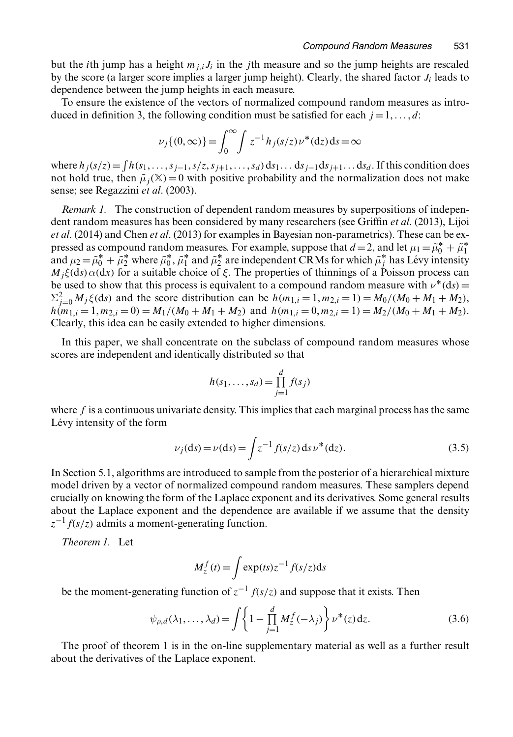but the *i*th jump has a height  $m_{i,j}J_i$  in the *j*th measure and so the jump heights are rescaled by the score (a larger score implies a larger jump height). Clearly, the shared factor  $J_i$  leads to dependence between the jump heights in each measure.

To ensure the existence of the vectors of normalized compound random measures as introduced in definition 3, the following condition must be satisfied for each  $j = 1, \ldots, d$ :

$$
\nu_j\{(0,\infty)\} = \int_0^\infty \int z^{-1} h_j(s/z) \nu^*(dz) ds = \infty
$$

where  $h_j(s/z) = \int h(s_1, \ldots, s_{j-1}, s/z, s_{j+1}, \ldots, s_d) ds_1 \ldots ds_{j-1} ds_{j+1} \ldots ds_d$ . If this condition does not hold true, then  $\tilde{\mu}_i(\mathbb{X}) = 0$  with positive probability and the normalization does not make sense; see Regazzini *et al*. (2003).

*Remark 1.* The construction of dependent random measures by superpositions of independent random measures has been considered by many researchers (see Griffin *et al*. (2013), Lijoi *et al*. (2014) and Chen *et al*. (2013) for examples in Bayesian non-parametrics). These can be expressed as compound random measures. For example, suppose that  $d = 2$ , and let  $\mu_1 = \tilde{\mu}_0^* + \tilde{\mu}_1^*$ <br>and  $\mu_2 = \tilde{\mu}_0^* + \tilde{\mu}_1^*$  where  $\tilde{\mu}_1^*$  and  $\tilde{\mu}_1^*$  are independent CRMs for which  $\tilde{\mu}_1^*$  has I é pressed as compound random measures. For example, suppose that  $u = 2$ , and let  $\mu_1 = \mu_0 + \mu_1$ <br>and  $\mu_2 = \tilde{\mu}_0^* + \tilde{\mu}_2^*$  where  $\tilde{\mu}_0^*, \tilde{\mu}_1^*$  and  $\tilde{\mu}_2^*$  are independent CRMs for which  $\tilde{\mu}_j^*$  has Lévy  $M_i\xi$ (ds)  $\alpha$ (dx) for a suitable choice of  $\xi$ . The properties of thinnings of a Poisson process can be used to show that this process is equivalent to a compound random measure with  $v^*(ds)$ .  $\sum_{j=0}^{2} M_j \xi$ (ds) and the score distribution can be  $h(m_{1,i} = 1, m_{2,i} = 1) = M_0/(M_0 + M_1 + M_2)$ ,<br> $h(m_{1,i} = 1, m_2 = 0) = M_1/(M_0 + M_1 + M_2)$  and  $h(m_{1,i} = 0, m_2 = 1) = M_2/(M_0 + M_1 + M_2)$ .  $h(m_{1,i} = 1, m_{2,i} = 0) = M_1/(M_0 + M_1 + M_2)$  and  $h(m_{1,i} = 0, m_{2,i} = 1) = M_2/(M_0 + M_1 + M_2)$ . Clearly, this idea can be easily extended to higher dimensions.

In this paper, we shall concentrate on the subclass of compound random measures whose scores are independent and identically distributed so that

$$
h(s_1,..., s_d) = \prod_{j=1}^d f(s_j)
$$

where  $f$  is a continuous univariate density. This implies that each marginal process has the same Lévy intensity of the form

$$
\nu_j(ds) = \nu(ds) = \int z^{-1} f(s/z) \, ds \, \nu^*(dz). \tag{3.5}
$$

In Section 5.1, algorithms are introduced to sample from the posterior of a hierarchical mixture model driven by a vector of normalized compound random measures. These samplers depend crucially on knowing the form of the Laplace exponent and its derivatives. Some general results about the Laplace exponent and the dependence are available if we assume that the density  $z^{-1}f(s/z)$  admits a moment-generating function.

*Theorem 1.* Let

$$
M_z^f(t) = \int \exp(ts) z^{-1} f(s/z) ds
$$

be the moment-generating function of  $z^{-1} f(s/z)$  and suppose that it exists. Then

$$
\psi_{\rho,d}(\lambda_1,\ldots,\lambda_d) = \int \left\{ 1 - \prod_{j=1}^d M_z^f(-\lambda_j) \right\} \nu^*(z) dz.
$$
 (3.6)

The proof of theorem 1 is in the on-line supplementary material as well as a further result about the derivatives of the Laplace exponent.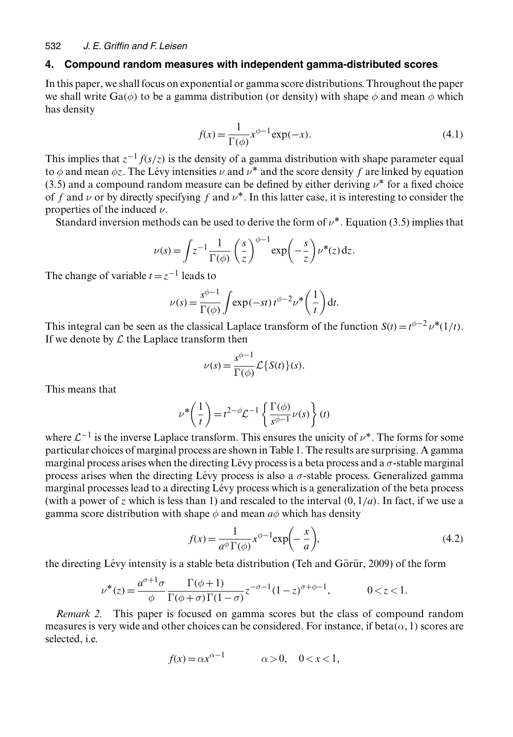#### **4. Compound random measures with independent gamma-distributed scores**

In this paper, we shall focus on exponential or gamma score distributions. Throughout the paper we shall write Ga( $\phi$ ) to be a gamma distribution (or density) with shape  $\phi$  and mean  $\phi$  which has density

$$
f(x) = \frac{1}{\Gamma(\phi)} x^{\phi - 1} \exp(-x).
$$
\n(4.1)

This implies that  $z^{-1}f(s/z)$  is the density of a gamma distribution with shape parameter equal to  $\phi$  and mean  $\phi z$ . The Lévy intensities  $\nu$  and  $\nu^*$  and the score density f are linked by equation (3.5) and a compound random measure can be defined by either deriving  $\nu^*$  for a fixed choice of f and  $\nu$  or by directly specifying f and  $\nu^*$ . In this latter case, it is interesting to consider the properties of the induced  $\nu$ .

Standard inversion methods can be used to derive the form of  $\nu^*$ . Equation (3.5) implies that

$$
\nu(s) = \int z^{-1} \frac{1}{\Gamma(\phi)} \left(\frac{s}{z}\right)^{\phi-1} \exp\left(-\frac{s}{z}\right) \nu^*(z) dz.
$$

The change of variable  $t = z^{-1}$  leads to

$$
\nu(s) = \frac{s^{\phi-1}}{\Gamma(\phi)} \int \exp(-st) t^{\phi-2} \nu^* \left(\frac{1}{t}\right) dt.
$$

This integral can be seen as the classical Laplace transform of the function  $S(t) = t^{\phi-2}v^*(1/t)$ .<br>If we denote by C the Laplace transform then If we denote by  $\mathcal L$  the Laplace transform then

$$
\nu(s) = \frac{s^{\phi - 1}}{\Gamma(\phi)} \mathcal{L}\left\{S(t)\right\}(s).
$$

This means that

$$
\nu^* \left( \frac{1}{t} \right) = t^{2-\phi} \mathcal{L}^{-1} \left\{ \frac{\Gamma(\phi)}{s^{\phi-1}} \nu(s) \right\} (t)
$$

where  $\mathcal{L}^{-1}$  is the inverse Laplace transform. This ensures the unicity of  $\nu^*$ . The forms for some particular choices of marginal process are shown in Table 1. The results are surprising. A gamma marginal process arises when the directing Lévy process is a beta process and a  $\sigma$ -stable marginal process arises when the directing Lévy process is also a  $\sigma$ -stable process. Generalized gamma marginal processes lead to a directing Lévy process which is a generalization of the beta process (with a power of z which is less than 1) and rescaled to the interval  $(0, 1/a)$ . In fact, if we use a gamma score distribution with shape  $\phi$  and mean  $a\phi$  which has density

$$
f(x) = \frac{1}{a^{\phi} \Gamma(\phi)} x^{\phi - 1} \exp\left(-\frac{x}{a}\right),\tag{4.2}
$$

the directing Lévy intensity is a stable beta distribution (Teh and Görür, 2009) of the form

$$
\nu^*(z) = \frac{a^{\sigma+1}\sigma}{\phi} \frac{\Gamma(\phi+1)}{\Gamma(\phi+\sigma)\Gamma(1-\sigma)} z^{-\sigma-1} (1-z)^{\sigma+\phi-1}, \qquad 0 < z < 1.
$$

*Remark 2.* This paper is focused on gamma scores but the class of compound random Remark 2. measures is very wide and other choices can be considered. For instance, if beta $(\alpha, 1)$  scores are selected, i.e.

$$
f(x) = \alpha x^{\alpha - 1} \qquad \alpha > 0, \quad 0 < x < 1,
$$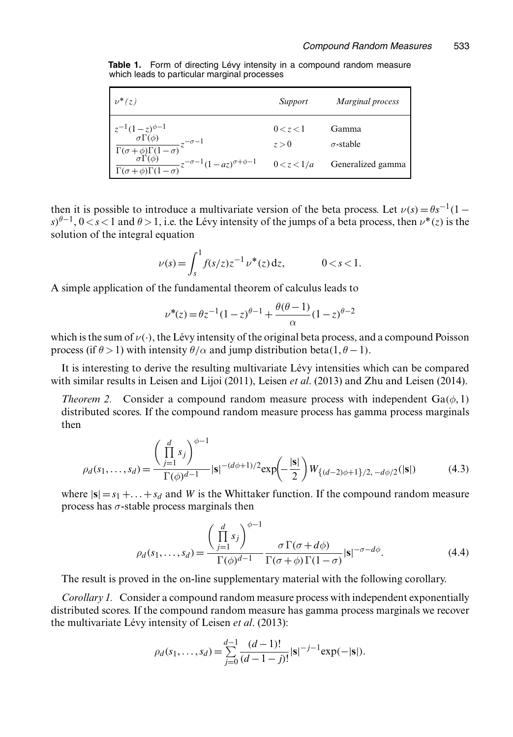**Table 1.** Form of directing Lévy intensity in a compound random measure which leads to particular marginal processes

| $\nu^*(z)$                                                                                                                                                                                                       | Support                           | Marginal process                               |
|------------------------------------------------------------------------------------------------------------------------------------------------------------------------------------------------------------------|-----------------------------------|------------------------------------------------|
| $z^{-1}(1-z)^{\phi-1}$<br>$\frac{\sigma \Gamma(\phi)}{\Gamma(\sigma+\phi)\Gamma(1-\sigma)} z^{-\sigma-1}$ $\frac{\sigma \Gamma(\phi)}{\Gamma(\sigma+\phi)\Gamma(1-\sigma)} z^{-\sigma-1} (1-az)^{\sigma+\phi-1}$ | 0 < z < 1<br>z > 0<br>0 < z < 1/a | Gamma<br>$\sigma$ -stable<br>Generalized gamma |

then it is possible to introduce a multivariate version of the beta process. Let  $\nu(s) = \theta s^{-1}(1$  $s^{n}$  $\theta^{-1}$ ,  $0 < s < 1$  and  $\theta > 1$ , i.e. the Lévy intensity of the jumps of a beta process, then  $\nu^*(z)$  is the solution of the integral equation

$$
\nu(s) = \int_s^1 f(s/z) z^{-1} \nu^*(z) dz, \qquad 0 < s < 1.
$$

A simple application of the fundamental theorem of calculus leads to

$$
\nu^*(z) = \theta z^{-1} (1 - z)^{\theta - 1} + \frac{\theta(\theta - 1)}{\alpha} (1 - z)^{\theta - 2}
$$

which is the sum of  $\nu(\cdot)$ , the Lévy intensity of the original beta process, and a compound Poisson process (if  $\theta > 1$ ) with intensity  $\theta/\alpha$  and jump distribution beta(1  $\theta = 1$ ) process (if  $\theta > 1$ ) with intensity  $\theta/\alpha$  and jump distribution beta $(1, \theta - 1)$ .

It is interesting to derive the resulting multivariate Lévy intensities which can be compared with similar results in Leisen and Lijoi (2011), Leisen *et al*. (2013) and Zhu and Leisen (2014).

*Theorem 2.* Consider a compound random measure process with independent  $Ga(\phi, 1)$ distributed scores. If the compound random measure process has gamma process marginals then

$$
\rho_d(s_1,\ldots,s_d) = \frac{\left(\prod_{j=1}^d s_j\right)^{\phi-1}}{\Gamma(\phi)^{d-1}} |\mathbf{s}|^{-(d\phi+1)/2} \exp\left(-\frac{|\mathbf{s}|}{2}\right) W_{\{(d-2)\phi+1\}/2, -d\phi/2}(|\mathbf{s}|) \tag{4.3}
$$

where  $|\mathbf{s}| = s_1 + \ldots + s_d$  and W is the Whittaker function. If the compound random measure process has  $\sigma$ -stable process marginals then

$$
\rho_d(s_1,\ldots,s_d) = \frac{\left(\prod_{j=1}^d s_j\right)^{\phi-1}}{\Gamma(\phi)^{d-1}} \frac{\sigma \Gamma(\sigma + d\phi)}{\Gamma(\sigma + \phi) \Gamma(1 - \sigma)} |\mathbf{s}|^{-\sigma - d\phi}.
$$
(4.4)

The result is proved in the on-line supplementary material with the following corollary.

*Corollary 1.* Consider a compound random measure process with independent exponentially distributed scores. If the compound random measure has gamma process marginals we recover the multivariate Lévy intensity of Leisen *et al.* (2013):

$$
\rho_d(s_1,\ldots,s_d) = \sum_{j=0}^{d-1} \frac{(d-1)!}{(d-1-j)!} |\mathbf{s}|^{-j-1} \exp(-|\mathbf{s}|).
$$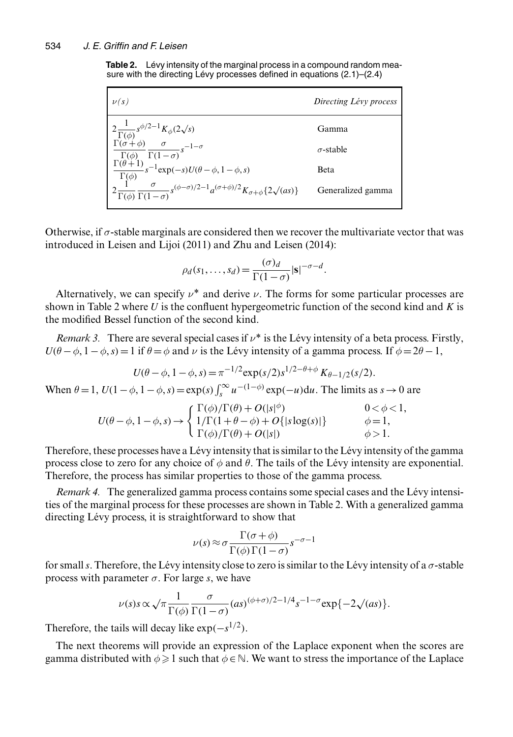**Table 2.** Lévy intensity of the marginal process in a compound random measure with the directing Lévy processes defined in equations  $(2.1)$ – $(2.4)$ 

| $\nu(s)$                                                                                                                                                                     | Directing Lévy process |  |  |
|------------------------------------------------------------------------------------------------------------------------------------------------------------------------------|------------------------|--|--|
| $\begin{cases}\n2\frac{1}{\Gamma(\phi)}s^{\phi/2-1}K_{\phi}(2\sqrt{s}) \\ \frac{\Gamma(\sigma+\phi)}{\Gamma(\phi)}\frac{\sigma}{\Gamma(1-\sigma)}s^{-1-\sigma}\n\end{cases}$ | Gamma                  |  |  |
|                                                                                                                                                                              | $\sigma$ -stable       |  |  |
| $\frac{\Gamma(\theta+1)}{\sqrt{2}}s^{-1}\exp(-s)U(\theta-\phi,1-\phi,s)$<br>$\Gamma(\phi)$                                                                                   | Beta                   |  |  |
| $2\frac{1}{\Gamma(\phi)}\frac{\sigma}{\Gamma(1-\sigma)}s^{(\phi-\sigma)/2-1}a^{(\sigma+\phi)/2}K_{\sigma+\phi}\{2\surd{(as)}\}$                                              | Generalized gamma      |  |  |

Otherwise, if  $\sigma$ -stable marginals are considered then we recover the multivariate vector that was introduced in Leisen and Lijoi (2011) and Zhu and Leisen (2014):

$$
\rho_d(s_1,\ldots,s_d) = \frac{(\sigma)_d}{\Gamma(1-\sigma)} |\mathbf{s}|^{-\sigma-d}.
$$

Alternatively, we can specify  $\nu^*$  and derive  $\nu$ . The forms for some particular processes are own in Table 2 where *U* is the confluent hypergeometric function of the second kind and *K* is shown in Table 2 where  $U$  is the confluent hypergeometric function of the second kind and  $K$  is the modified Bessel function of the second kind.

*Remark 3.* There are several special cases if  $v^*$  is the Lévy intensity of a beta process. Firstly,  $U(\theta - \phi, 1 - \phi, s) = 1$  if  $\theta = \phi$  and  $\nu$  is the Lévy intensity of a gamma process. If  $\phi = 2\theta - 1$ ,

$$
U(\theta - \phi, 1 - \phi, s) = \pi^{-1/2} \exp(s/2) s^{1/2 - \theta + \phi} K_{\theta - 1/2}(s/2).
$$

When  $\theta = 1$ ,  $U(1 - \phi, 1 - \phi, s) = \exp(s) \int_s^{\infty} u^{-(1 - \phi)} \exp(-u) du$ . The limits as  $s \to 0$  are

$$
U(\theta - \phi, 1 - \phi, s) \rightarrow \begin{cases} \Gamma(\phi)/\Gamma(\theta) + O(|s|^{\phi}) & 0 < \phi < 1, \\ 1/\Gamma(1 + \theta - \phi) + O(|s|) & \phi = 1, \\ \Gamma(\phi)/\Gamma(\theta) + O(|s|) & \phi > 1. \end{cases}
$$

Therefore, these processes have a Lévy intensity that is similar to the Lévy intensity of the gamma process close to zero for any choice of  $\phi$  and  $\theta$ . The tails of the Lévy intensity are exponential. Therefore, the process has similar properties to those of the gamma process.

*Remark 4.* The generalized gamma process contains some special cases and the Lévy intensities of the marginal process for these processes are shown in Table 2. With a generalized gamma directing Lévy process, it is straightforward to show that

$$
\nu(s) \approx \sigma \frac{\Gamma(\sigma + \phi)}{\Gamma(\phi)\Gamma(1 - \sigma)} s^{-\sigma - 1}
$$

for small s. Therefore, the Lévy intensity close to zero is similar to the Lévy intensity of a  $\sigma$ -stable<br>process with parameter  $\sigma$ . For large s, we have process with parameter  $\sigma$ . For large s, we have

$$
\nu(s)s \propto \sqrt{\pi} \frac{1}{\Gamma(\phi)} \frac{\sigma}{\Gamma(1-\sigma)} (as)^{(\phi+\sigma)/2 - 1/4} s^{-1-\sigma} \exp\{-2\sqrt{(as)}\}.
$$

Therefore, the tails will decay like  $\exp(-s^{1/2})$ .

The next theorems will provide an expression of the Laplace exponent when the scores are gamma distributed with  $\phi \geq 1$  such that  $\phi \in \mathbb{N}$ . We want to stress the importance of the Laplace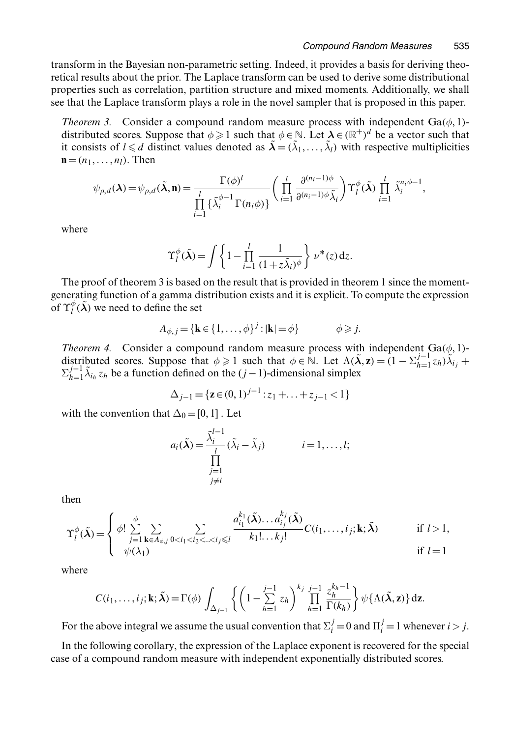transform in the Bayesian non-parametric setting. Indeed, it provides a basis for deriving theoretical results about the prior. The Laplace transform can be used to derive some distributional properties such as correlation, partition structure and mixed moments. Additionally, we shall see that the Laplace transform plays a role in the novel sampler that is proposed in this paper.

*Theorem 3.* Consider a compound random measure process with independent  $Ga(\phi, 1)$ distributed scores. Suppose that  $\phi \geq \theta$  it consists of  $1 \leq d$  distinct values de distributed scores. Suppose that  $\phi \ge 1$  such that  $\phi \in \mathbb{N}$ . Let  $\lambda \in (\mathbb{R}^+)^d$  be a vector such that it consists of  $l \le d$  distinct values denoted as  $\tilde{\lambda} = (\tilde{\lambda}_1, ..., \tilde{\lambda}_l)$  with respective multiplicities  $\mathbf{n} - (n_1, ..., n_l)$ . Then  $\mathbf{n}=(n_1,\ldots,n_l)$ . Then

$$
\psi_{\rho,d}(\lambda) = \psi_{\rho,d}(\tilde{\lambda}, \mathbf{n}) = \frac{\Gamma(\phi)^l}{\prod\limits_{i=1}^l \left\{ \tilde{\lambda}_i^{\phi-1} \Gamma(n_i \phi) \right\}} \left( \prod\limits_{i=1}^l \frac{\partial^{(n_i-1)\phi}}{\partial^{(n_i-1)\phi} \tilde{\lambda}_i} \right) \Upsilon_l^{\phi}(\tilde{\lambda}) \prod\limits_{i=1}^l \tilde{\lambda}_i^{n_i \phi-1},
$$

where

$$
\Upsilon_l^{\phi}(\tilde{\boldsymbol{\lambda}}) = \int \left\{ 1 - \prod_{i=1}^l \frac{1}{(1 + z \tilde{\lambda}_i)^{\phi}} \right\} \nu^*(z) dz.
$$

The proof of theorem 3 is based on the result that is provided in theorem 1 since the momentgenerating function of a gamma distribution exists and it is explicit. To compute the expression of  $\Upsilon^{\phi}_l(\tilde{\boldsymbol{\lambda}})$  we need to define the set

$$
A_{\phi,j} = \{ \mathbf{k} \in \{1,\ldots,\phi\}^j : |\mathbf{k}| = \phi \} \qquad \phi \geqslant j.
$$

*Theorem 4.* Consider a compound random measure process with independent  $Ga(\phi, 1)$ -<br>distributed scores. Suppose that  $\phi > 1$  such that  $\phi \in \mathbb{N}$ . Let  $A(\tilde{\lambda}, z) = (1 - \Sigma)^{j-1} z_j \tilde{\lambda}$ . distributed scores. Suppose that  $\phi \ge 1$  such that  $\phi \in \mathbb{N}$ . Let  $\Lambda(\tilde{\lambda}, z) = (1 - \Sigma_{h=1}^{j-1} z_h) \tilde{\lambda}_{i_j} + \Sigma_{h=1}^{j-1} \tilde{\lambda}_{i_j}$ .  $z_i$  be a function defined on the  $(i-1)$ -dimensional simplex  $\sum_{h=1}^{j-1} \tilde{\lambda}_{i_h} z_h$  be a function defined on the  $(j-1)$ -dimensional simplex

$$
\Delta_{j-1} = \{ \mathbf{z} \in (0,1)^{j-1} : z_1 + \ldots + z_{j-1} < 1 \}
$$

with the convention that  $\Delta_0 = [0, 1]$ . Let

$$
a_i(\tilde{\lambda}) = \frac{\tilde{\lambda}_i^{l-1}}{\prod\limits_{\substack{j=1 \ j \neq i}}^l (\tilde{\lambda}_i - \tilde{\lambda}_j)} \qquad i = 1, \dots, l;
$$

then

$$
\Upsilon_l^{\phi}(\tilde{\boldsymbol{\lambda}}) = \begin{cases} \phi! \sum_{j=1}^{\phi} \sum_{\mathbf{k} \in A_{\phi,j}} \sum_{0 < i_1 < i_2 < \dots < i_j \le l} \frac{a_{i_1}^{k_1}(\tilde{\boldsymbol{\lambda}}) \dots a_{i_j}^{k_j}(\tilde{\boldsymbol{\lambda}})}{k_1! \dots k_j!} C(i_1, \dots, i_j; \mathbf{k}; \tilde{\boldsymbol{\lambda}}) & \text{if } l > 1, \\ \psi(\lambda_1) & \text{if } l = 1 \end{cases}
$$

where

$$
C(i_1,\ldots,i_j;\mathbf{k};\tilde{\boldsymbol{\lambda}})=\Gamma(\phi)\int_{\Delta_{j-1}}\left\{\left(1-\sum_{h=1}^{j-1}z_h\right)^{k_j}\prod_{h=1}^{j-1}\frac{z_h^{k_h-1}}{\Gamma(k_h)}\right\}\psi\{\Lambda(\tilde{\boldsymbol{\lambda}},\mathbf{z})\}\,\mathrm{d}\mathbf{z}.
$$

For the above integral we assume the usual convention that  $\Sigma_i^j = 0$  and  $\Pi_i^j = 1$  whenever  $i > j$ .

In the following corollary, the expression of the Laplace exponent is recovered for the special case of a compound random measure with independent exponentially distributed scores.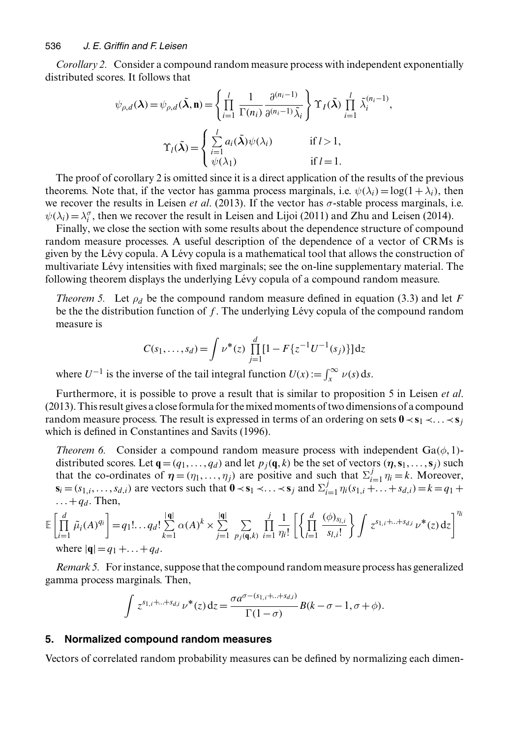*Corollary 2.* Consider a compound random measure process with independent exponentially distributed scores. It follows that

$$
\psi_{\rho,d}(\lambda) = \psi_{\rho,d}(\tilde{\lambda}, \mathbf{n}) = \left\{ \prod_{i=1}^l \frac{1}{\Gamma(n_i)} \frac{\partial^{(n_i - 1)}}{\partial^{(n_i - 1)} \tilde{\lambda}_i} \right\} \Upsilon_I(\tilde{\lambda}) \prod_{i=1}^l \tilde{\lambda}_i^{(n_i - 1)},
$$

$$
\Upsilon_I(\tilde{\lambda}) = \begin{cases} \sum_{i=1}^l a_i(\tilde{\lambda}) \psi(\lambda_i) & \text{if } l > 1, \\ \psi(\lambda_1) & \text{if } l = 1. \end{cases}
$$

The proof of corollary 2 is omitted since it is a direct application of the results of the previous theorems. Note that, if the vector has gamma process marginals, i.e.  $\psi(\lambda_i) = \log(1 + \lambda_i)$ , then we recover the results in Leisen *et al*. (2013). If the vector has σ-stable process marginals, i.e.  $\psi(\lambda_i) = \lambda_i^{\sigma}$ , then we recover the result in Leisen and Lijoi (2011) and Zhu and Leisen (2014).<br>Finally we close the section with some results about the dependence structure of compoun

Finally, we close the section with some results about the dependence structure of compound random measure processes. A useful description of the dependence of a vector of CRMs is given by the Lévy copula. A Lévy copula is a mathematical tool that allows the construction of multivariate Lévy intensities with fixed marginals; see the on-line supplementary material. The following theorem displays the underlying Lévy copula of a compound random measure.

*Theorem 5.* Let  $\rho_d$  be the compound random measure defined in equation (3.3) and let F be the the distribution function of  $f$ . The underlying Lévy copula of the compound random measure is

$$
C(s_1,\ldots,s_d) = \int \nu^*(z) \prod_{j=1}^d [1 - F\{z^{-1}U^{-1}(s_j)\}] dz
$$

where  $U^{-1}$  is the inverse of the tail integral function  $U(x) := \int_{x}^{\infty} \nu(s) ds$ .

Furthermore, it is possible to prove a result that is similar to proposition 5 in Leisen *et al*. (2013). This result gives a close formula for the mixed moments of two dimensions of a compound random measure process. The result is expressed in terms of an ordering on sets  $0 \lt s_1 \lt \ldots \lt s_j$ which is defined in Constantines and Savits (1996).

*Theorem 6.* Consider a compound random measure process with independent  $Ga(\phi, 1)$ distributed scores. Let  $\mathbf{q} = (q_1, \ldots, q_d)$  and let  $p_i(\mathbf{q}, k)$  be the set of vectors  $(\eta, \mathbf{s}_1, \ldots, \mathbf{s}_i)$  such that the co-ordinates of  $\eta = (\eta_1, ..., \eta_j)$  are positive and such that  $\Sigma_{i=1}^j \eta_i = k$ . Moreover,<br>s: – (s) see vectors such that  $0 \lt s_1 \lt \ldots \lt s_1$  and  $\Sigma_{i=1}^j \eta_i$  (s)  $k = k_1, k_2, k_3 \neq k_4$ . **s**<sub>i</sub> =  $(s_{1,i},...,s_{d,i})$  are vectors such that  $\mathbf{0} \prec s_1 \prec ... \prec s_j$  and  $\sum_{i=1}^{j} \eta_i(s_{1,i} + ... + s_{d,i}) = k = q_1 +$  $\ldots$  +  $q_d$ . Then,

$$
\mathbb{E}\left[\prod_{i=1}^{d} \tilde{\mu}_{i}(A)^{q_{i}}\right] = q_{1}!...+q_{d}! \sum_{k=1}^{|q|} \alpha(A)^{k} \times \sum_{j=1}^{|q|} \sum_{p_{j}(q,k)} \prod_{i=1}^{j} \frac{1}{\eta_{i}!} \left[\left\{\prod_{l=1}^{d} \frac{(\phi)_{s_{l,i}}}{s_{l,i}!}\right\} \int z^{s_{1,i}+...+s_{d,i}} \nu^{*}(z) dz\right]^{\eta_{i}}
$$
  
where  $|q| = q_{1}+...+q_{d}$ .

*Remark 5.* For instance, suppose that the compound random measure process has generalized gamma process marginals. Then,

$$
\int z^{s_{1,i}+\ldots+s_{d,i}}\nu^*(z)\,dz = \frac{\sigma a^{\sigma-(s_{1,i}+\ldots+s_{d,i})}}{\Gamma(1-\sigma)}B(k-\sigma-1,\sigma+\phi).
$$

#### **5. Normalized compound random measures**

Vectors of correlated random probability measures can be defined by normalizing each dimen-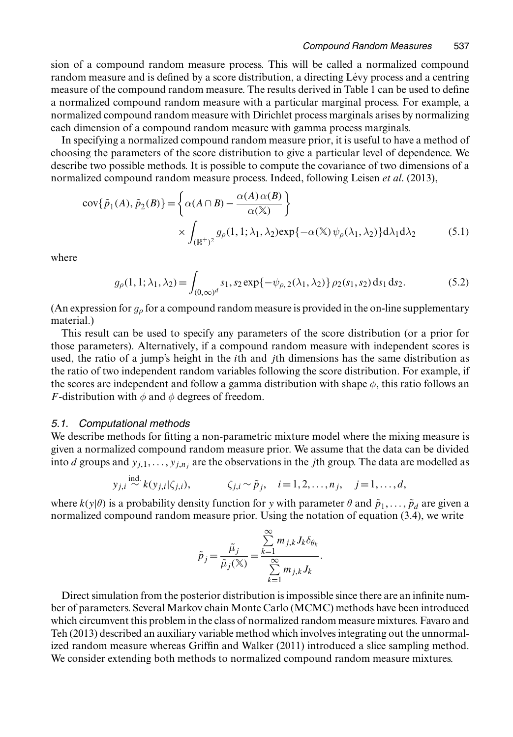sion of a compound random measure process. This will be called a normalized compound random measure and is defined by a score distribution, a directing Lévy process and a centring measure of the compound random measure. The results derived in Table 1 can be used to define a normalized compound random measure with a particular marginal process. For example, a normalized compound random measure with Dirichlet process marginals arises by normalizing each dimension of a compound random measure with gamma process marginals.

In specifying a normalized compound random measure prior, it is useful to have a method of choosing the parameters of the score distribution to give a particular level of dependence. We describe two possible methods. It is possible to compute the covariance of two dimensions of a normalized compound random measure process. Indeed, following Leisen *et al*. (2013),

$$
cov\{\tilde{p}_1(A), \tilde{p}_2(B)\} = \left\{\alpha(A \cap B) - \frac{\alpha(A)\alpha(B)}{\alpha(\mathbb{X})}\right\}
$$

$$
\times \int_{(\mathbb{R}^+)^2} g_\rho(1, 1; \lambda_1, \lambda_2) exp\{-\alpha(\mathbb{X}) \psi_\rho(\lambda_1, \lambda_2)\} d\lambda_1 d\lambda_2 \tag{5.1}
$$

where

$$
g_{\rho}(1, 1; \lambda_1, \lambda_2) = \int_{(0, \infty)^d} s_1, s_2 \exp\{-\psi_{\rho, 2}(\lambda_1, \lambda_2)\} \rho_2(s_1, s_2) \, ds_1 \, ds_2. \tag{5.2}
$$

(An expression for  $g_\rho$  for a compound random measure is provided in the on-line supplementary material.)

This result can be used to specify any parameters of the score distribution (or a prior for those parameters). Alternatively, if a compound random measure with independent scores is used, the ratio of a jump's height in the ith and jth dimensions has the same distribution as the ratio of two independent random variables following the score distribution. For example, if the scores are independent and follow a gamma distribution with shape  $\phi$ , this ratio follows an *F*-distribution with  $\phi$  and  $\phi$  degrees of freedom.

#### *5.1. Computational methods*

We describe methods for fitting a non-parametric mixture model where the mixing measure is given a normalized compound random measure prior. We assume that the data can be divided into d groups and  $y_{j,1},..., y_{j,n}$  are the observations in the jth group. The data are modelled as

$$
y_{j,i} \stackrel{\text{ind.}}{\sim} k(y_{j,i}|\zeta_{j,i}), \qquad \zeta_{j,i} \sim \tilde{p}_j, \quad i = 1, 2, \ldots, n_j, \quad j = 1, \ldots, d,
$$

where  $k(y|\theta)$  is a probability density function for y with parameter  $\theta$  and  $\tilde{p}_1, \ldots, \tilde{p}_d$  are given a normalized compound random measure prior. Using the notation of equation (3.4), we write

$$
\tilde{p}_j = \frac{\tilde{\mu}_j}{\tilde{\mu}_j(\mathbf{X})} = \frac{\sum_{k=1}^{\infty} m_{j,k} J_k \delta_{\theta_k}}{\sum_{k=1}^{\infty} m_{j,k} J_k}.
$$

Direct simulation from the posterior distribution is impossible since there are an infinite number of parameters. Several Markov chain Monte Carlo (MCMC) methods have been introduced which circumvent this problem in the class of normalized random measure mixtures. Favaro and Teh (2013) described an auxiliary variable method which involves integrating out the unnormalized random measure whereas Griffin and Walker (2011) introduced a slice sampling method. We consider extending both methods to normalized compound random measure mixtures.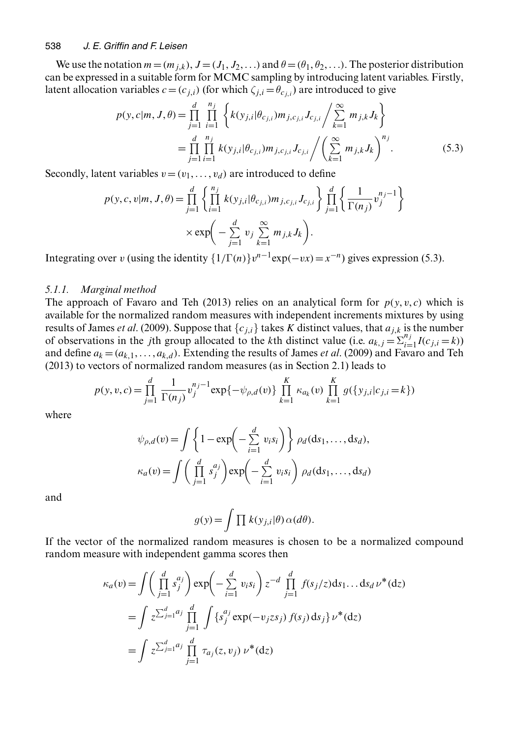#### 538 *J. E. Griffin and F. Leisen*

We use the notation  $m=(m_{j,k})$ ,  $J=(J_1, J_2, ...)$  and  $\theta=(\theta_1, \theta_2, ...)$ . The posterior distribution can be expressed in a suitable form for MCMC sampling by introducing latent variables. Firstly, latent allocation variables  $c = (c_{j,i})$  (for which  $\zeta_{j,i} = \theta_{c_{i,i}}$ ) are introduced to give

$$
p(y, c|m, J, \theta) = \prod_{j=1}^{d} \prod_{i=1}^{n_j} \left\{ k(y_{j,i}|\theta_{c_{j,i}}) m_{j,c_{j,i}} J_{c_{j,i}} \middle/ \sum_{k=1}^{\infty} m_{j,k} J_k \right\}
$$
  
= 
$$
\prod_{j=1}^{d} \prod_{i=1}^{n_j} k(y_{j,i}|\theta_{c_{j,i}}) m_{j,c_{j,i}} J_{c_{j,i}} \middle/ \left( \sum_{k=1}^{\infty} m_{j,k} J_k \right)^{n_j}.
$$
 (5.3)

Secondly, latent variables  $v=(v_1, \ldots, v_d)$  are introduced to define

$$
p(y, c, v | m, J, \theta) = \prod_{j=1}^{d} \left\{ \prod_{i=1}^{n_j} k(y_{j,i} | \theta_{c_{j,i}}) m_{j, c_{j,i}} J_{c_{j,i}} \right\} \prod_{j=1}^{d} \left\{ \frac{1}{\Gamma(n_j)} v_j^{n_j - 1} \right\}
$$
  
 
$$
\times \exp\left(-\sum_{j=1}^{d} v_j \sum_{k=1}^{\infty} m_{j,k} J_k\right).
$$

Integrating over v (using the identity  $\{1/\Gamma(n)\}v^{n-1}$ exp $(-vx)=x^{-n}$ ) gives expression (5.3).

#### *5.1.1. Marginal method*

The approach of Favaro and Teh (2013) relies on an analytical form for  $p(y, v, c)$  which is available for the normalized random measures with independent increments mixtures by using results of James *et al.* (2009). Suppose that  ${c_{i,i}}$  takes K distinct values, that  $a_{i,k}$  is the number of observations in the *j*th group allocated to the *k*th distinct value (i.e.  $a_{k,j} = \sum_{i=1}^{n_j} I(c_{j,i} = k)$ ) and define  $a_k = (a_{k,1}, \ldots, a_{k,d})$ . Extending the results of James *et al.* (2009) and Favaro and Teh (2013) to vectors of normalized random measures (as in Section 2.1) leads to

$$
p(y, v, c) = \prod_{j=1}^{d} \frac{1}{\Gamma(n_j)} v_j^{n_j - 1} \exp\{-\psi_{\rho,d}(v)\} \prod_{k=1}^{K} \kappa_{a_k}(v) \prod_{k=1}^{K} g(\{y_{j,i}|c_{j,i} = k\})
$$

where

$$
\psi_{\rho,d}(v) = \int \left\{ 1 - \exp\left(-\sum_{i=1}^d v_i s_i\right) \right\} \rho_d(ds_1, \dots, ds_d),
$$

$$
\kappa_a(v) = \int \left(\prod_{j=1}^d s_j^{a_j}\right) \exp\left(-\sum_{i=1}^d v_i s_i\right) \rho_d(ds_1, \dots, ds_d)
$$

and

$$
g(y) = \int \prod k(y_{j,i}|\theta) \alpha(d\theta).
$$

If the vector of the normalized random measures is chosen to be a normalized compound random measure with independent gamma scores then

$$
\kappa_a(v) = \int \left( \prod_{j=1}^d s_j^{a_j} \right) \exp \left( - \sum_{i=1}^d v_i s_i \right) z^{-d} \prod_{j=1}^d f(s_j/z) ds_1 \dots ds_d \nu^*(dz)
$$
  
= 
$$
\int z^{\sum_{j=1}^d a_j} \prod_{j=1}^d \int \{ s_j^{a_j} \exp(-v_j zs_j) f(s_j) ds_j \} \nu^*(dz)
$$
  
= 
$$
\int z^{\sum_{j=1}^d a_j} \prod_{j=1}^d \tau_{a_j}(z, v_j) \nu^*(dz)
$$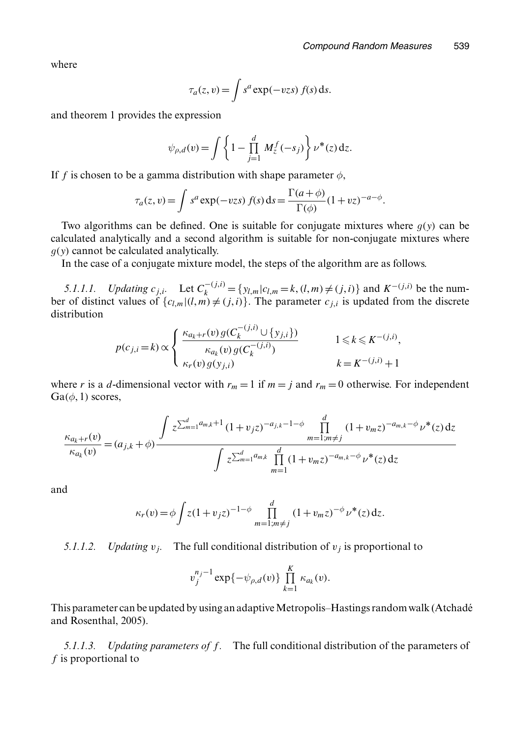where

$$
\tau_a(z,v) = \int s^a \exp(-vzs) f(s) ds.
$$

and theorem 1 provides the expression

$$
\psi_{\rho,d}(v) = \int \left\{ 1 - \prod_{j=1}^d M_z^f(-s_j) \right\} \nu^*(z) \, dz.
$$

If f is chosen to be a gamma distribution with shape parameter  $\phi$ ,

$$
\tau_a(z,v) = \int s^a \exp(-vzs) f(s) ds = \frac{\Gamma(a+\phi)}{\Gamma(\phi)} (1+ vz)^{-a-\phi}.
$$

Two algorithms can be defined. One is suitable for conjugate mixtures where  $g(y)$  can be calculated analytically and a second algorithm is suitable for non-conjugate mixtures where  $g(y)$  cannot be calculated analytically.

In the case of a conjugate mixture model, the steps of the algorithm are as follows.

*5.1.1.1. Updating*  $c_{j,i}$ . Let  $C_k^{-(j,i)} = \{y_{l,m}|c_{l,m} = k, (l,m) \neq (j,i)\}$  and  $K^{-(j,i)}$  be the number of distinct values of  ${c_{l,m} | (l,m) \neq (j,i)}$ . The parameter  $c_{j,i}$  is updated from the discrete distribution

$$
p(c_{j,i} = k) \propto \begin{cases} \frac{\kappa_{a_k+r}(v) g(C_k^{-(j,i)} \cup \{y_{j,i}\})}{\kappa_{a_k}(v) g(C_k^{-(j,i)})} & 1 \le k \le K^{-(j,i)}, \\ \kappa_r(v) g(y_{j,i}) & k = K^{-(j,i)} + 1 \end{cases}
$$

where r is a d-dimensional vector with  $r_m = 1$  if  $m = j$  and  $r_m = 0$  otherwise. For independent  $Ga(\phi, 1)$  scores,

$$
\frac{\kappa_{a_k+r}(v)}{\kappa_{a_k}(v)} = (a_{j,k} + \phi) \frac{\int z^{\sum_{m=1}^d a_{m,k}+1} (1+v_j z)^{-a_{j,k}-1-\phi} \prod_{m=1; m \neq j}^d (1+v_m z)^{-a_{m,k}-\phi} \nu^*(z) dz}{\int z^{\sum_{m=1}^d a_{m,k}} \prod_{m=1}^d (1+v_m z)^{-a_{m,k}-\phi} \nu^*(z) dz}
$$

and

$$
\kappa_r(v) = \phi \int z(1+v_j z)^{-1-\phi} \prod_{m=1; m \neq j}^d (1+v_m z)^{-\phi} \nu^*(z) dz.
$$

*5.1.1.2. Updating*  $v_j$ . The full conditional distribution of  $v_j$  is proportional to

$$
v_j^{n_j-1}\exp\{-\psi_{\rho,d}(v)\}\prod_{k=1}^K\kappa_{a_k}(v).
$$

This parameter can be updated by using an adaptive Metropolis–Hastings random walk (Atchadé and Rosenthal, 2005).

*5.1.1.3. Updating parameters of f.* The full conditional distribution of the parameters of f is proportional to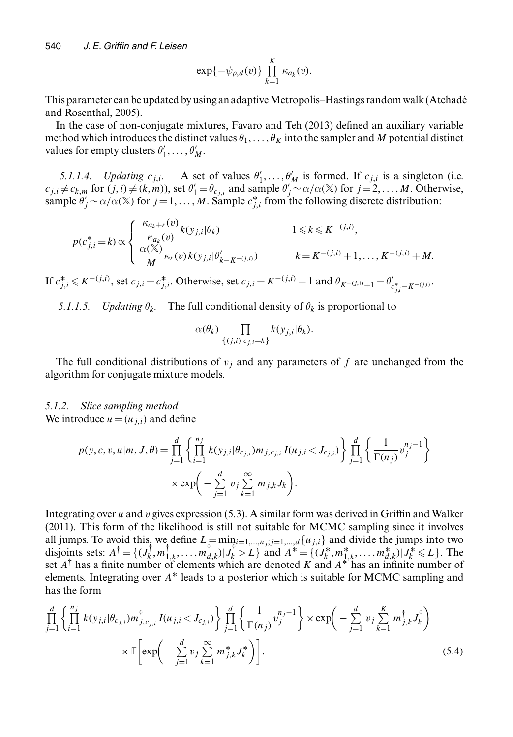$$
\exp\{-\psi_{\rho,d}(v)\}\prod_{k=1}^K\kappa_{a_k}(v).
$$

This parameter can be updated by using an adaptive Metropolis–Hastings random walk (Atchadé and Rosenthal, 2005).

In the case of non-conjugate mixtures, Favaro and Teh (2013) defined an auxiliary variable method which introduces the distinct values  $\theta_1, \ldots, \theta_K$  into the sampler and M potential distinct values for empty clusters  $\theta'_1, \ldots, \theta'_M$ .

*5.1.1.4. Updating*  $c_{j,i}$ . A set of values  $\theta'_1, \dots, \theta'_M$  is formed. If  $c_{j,i}$  is a singleton (i.e.  $\neq c_i$  for  $(i, j) \neq (k, m)$ ) set  $\theta' = \theta$  and sample  $\theta' \sim \alpha / \alpha(\mathbb{X})$  for  $i = 2$  M Otherwise  $c_{j,i} \neq c_{k,m}$  for  $(j,i) \neq (k,m)$ , set  $\theta'_1 = \theta_{c_{j,i}}$  and sample  $\theta'_j \sim \alpha/\alpha(\mathbb{X})$  for  $j = 2, ..., M$ . Otherwise, sample  $\theta'_i \sim \alpha/\alpha(\mathbb{X})$  for  $i = 1$  M Sample  $c^*$ , from the following discrete distribution: sample  $\theta'_j \sim \alpha/\alpha(\mathbb{X})$  for  $j = 1, ..., M$ . Sample  $c_{j,i}^*$  from the following discrete distribution:

$$
p(c_{j,i}^* = k) \propto \begin{cases} \frac{\kappa_{a_k+r}(v)}{\kappa_{a_k}(v)} k(y_{j,i}|\theta_k) & 1 \leq k \leq K^{-(j,i)},\\ \frac{\alpha(\mathbb{X})}{M} \kappa_r(v) k(y_{j,i}|\theta'_{k-K^{-(j,i)}}) & k = K^{-(j,i)} + 1, \dots, K^{-(j,i)} + M. \end{cases}
$$

If  $c_{j,i}^* \le K^{-(j,i)}$ , set  $c_{j,i} = c_{j,i}^*$ . Otherwise, set  $c_{j,i} = K^{-(j,i)} + 1$  and  $\theta_{K^{-(j,i)}+1} = \theta'_{c_{j,i}^* - K^{-(j,i)}}$ .

*5.1.1.5. Updating*  $\theta_k$ . The full conditional density of  $\theta_k$  is proportional to

$$
\alpha(\theta_k)\prod_{\{(j,i)|c_{j,i}=k\}}k(y_{j,i}|\theta_k).
$$

The full conditional distributions of  $v_i$  and any parameters of f are unchanged from the algorithm for conjugate mixture models.

## *5.1.2. Slice sampling method*

We introduce  $u=(u_{i,i})$  and define

$$
p(y, c, v, u | m, J, \theta) = \prod_{j=1}^{d} \left\{ \prod_{i=1}^{n_j} k(y_{j,i} | \theta_{c_{j,i}}) m_{j, c_{j,i}} I(u_{j,i} < J_{c_{j,i}}) \right\} \prod_{j=1}^{d} \left\{ \frac{1}{\Gamma(n_j)} v_j^{n_j - 1} \right\}
$$
\n
$$
\times \exp\left(-\sum_{j=1}^{d} v_j \sum_{k=1}^{\infty} m_{j,k} J_k\right).
$$

Integrating over u and v gives expression  $(5.3)$ . A similar form was derived in Griffin and Walker (2011). This form of the likelihood is still not suitable for MCMC sampling since it involves all jumps. To avoid this, we define  $L = \min_{i=1,\dots,n} i, j=1,\dots,d$   $\{u_{j,i}\}$  and divide the jumps into two disjoints sets:  $A^{\dagger} = \{ (J_k^{\dagger}, m_{1,k}^{\dagger}, ..., m_{d,k}^{\dagger}) | J_k^{\dagger} > L \}$  and  $A^* = \{ (J_k^*, m_{1,k}^*, ..., m_{d,k}^*) | J_k^* \le L \}$ . The set A<sup>†</sup> has a finite number of elements which are denoted K and A<sup>\*</sup> has an infinite number of  $A^{\dagger}$  has a finite number of elements which are denoted K and A<sup>\*</sup> has an infinite number of elements. Integrating over  $A^*$  leads to a posterior which is suitable for MCMC sampling and has the form

$$
\prod_{j=1}^{d} \left\{ \prod_{i=1}^{n_j} k(y_{j,i} | \theta_{c_{j,i}}) m_{j,c_{j,i}}^{\dagger} I(u_{j,i} < J_{c_{j,i}}) \right\} \prod_{j=1}^{d} \left\{ \frac{1}{\Gamma(n_j)} v_j^{n_j - 1} \right\} \times \exp \left( - \sum_{j=1}^{d} v_j \sum_{k=1}^{K} m_{j,k}^{\dagger} J_k^{\dagger} \right)
$$
\n
$$
\times \mathbb{E} \left[ \exp \left( - \sum_{j=1}^{d} v_j \sum_{k=1}^{\infty} m_{j,k}^{*} J_k^{\dagger} \right) \right].
$$
\n(5.4)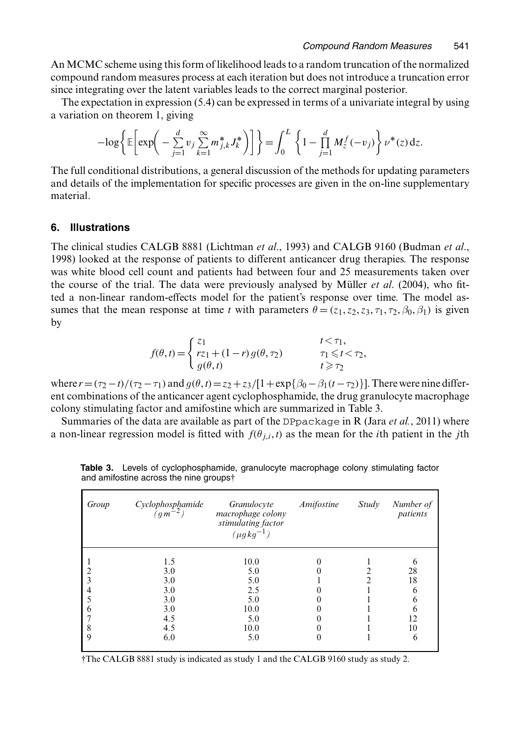An MCMC scheme using this form of likelihood leads to a random truncation of the normalized compound random measures process at each iteration but does not introduce a truncation error since integrating over the latent variables leads to the correct marginal posterior.

The expectation in expression (5.4) can be expressed in terms of a univariate integral by using a variation on theorem 1, giving

$$
-\log\left\{\mathbb{E}\left[\exp\left(-\sum_{j=1}^d v_j \sum_{k=1}^\infty m_{j,k}^* J_k^*\right)\right]\right\} = \int_0^L \left\{1 - \prod_{j=1}^d M_z^f(-v_j)\right\} \nu^*(z) dz.
$$

The full conditional distributions, a general discussion of the methods for updating parameters and details of the implementation for specific processes are given in the on-line supplementary material.

#### **6. Illustrations**

The clinical studies CALGB 8881 (Lichtman *et al*., 1993) and CALGB 9160 (Budman *et al*., 1998) looked at the response of patients to different anticancer drug therapies. The response was white blood cell count and patients had between four and 25 measurements taken over the course of the trial. The data were previously analysed by Müller *et al.* (2004), who fitted a non-linear random-effects model for the patient's response over time. The model assumes that the mean response at time t with parameters  $\theta = (z_1, z_2, z_3, \tau_1, \tau_2, \beta_0, \beta_1)$  is given by

$$
f(\theta, t) = \begin{cases} z_1 & t < \tau_1, \\ r z_1 + (1 - r) g(\theta, \tau_2) & \tau_1 \leq t < \tau_2, \\ g(\theta, t) & t \geq \tau_2 \end{cases}
$$

where  $r=(\tau_2 - t)/(\tau_2 - \tau_1)$  and  $g(\theta, t) = z_2 + z_3/[1 + \exp{\beta_0 - \beta_1(t - \tau_2)}]$ . There were nine different combinations of the anticancer agent cyclophosphamide, the drug grapulocyte macrophage ent combinations of the anticancer agent cyclophosphamide, the drug granulocyte macrophage colony stimulating factor and amifostine which are summarized in Table 3.

Summaries of the data are available as part of the DPpackage in R (Jara *et al.*, 2011) where a non-linear regression model is fitted with  $f(\theta_{i,i}, t)$  as the mean for the *i*th patient in the *j*th

| Group | Cyclophosphamide<br>$(g_m-2)$ | Granulocyte<br>macrophage colony<br>stimulating factor<br>$(\mu g k g^{-1})$ | Amifostine | Study | Number of<br>patients |
|-------|-------------------------------|------------------------------------------------------------------------------|------------|-------|-----------------------|
|       | 1.5                           | 10.0                                                                         |            |       | O                     |
|       | 3.0                           | 5.0                                                                          |            |       | 28                    |
| 3     | 3.0                           | 5.0                                                                          |            |       | 18                    |
|       | 3.0                           | 2.5                                                                          |            |       | 6                     |
|       | 3.0                           | 5.0                                                                          |            |       | h                     |
| 6     | 3.0                           | 10.0                                                                         |            |       | h                     |
|       | 4.5                           | 5.0                                                                          |            |       | 12                    |
| 8     | 4.5                           | 10.0                                                                         |            |       | 10                    |
| 9     | 6.0                           | 5.0                                                                          |            |       | 6                     |
|       |                               |                                                                              |            |       |                       |

**Table 3.** Levels of cyclophosphamide, granulocyte macrophage colony stimulating factor and amifostine across the nine groups†

†The CALGB 8881 study is indicated as study 1 and the CALGB 9160 study as study 2.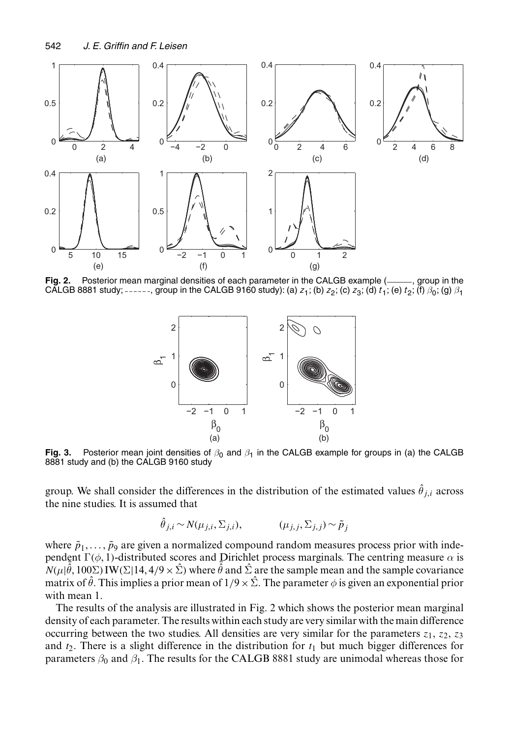

Fig. 2. Posterior mean marginal densities of each parameter in the CALGB example (<sub>----</sub>, group in the CALGB 8881 study; ------, group in the CALGB 9160 study): (a)  $z_1$ ; (b)  $z_2$ ; (c)  $z_3$ ; (d)  $t_1$ ; (e)  $t_2$ ; (f)  $\beta_0$ ; (g)  $\beta_1$ 



**Fig. 3.** Posterior mean joint densities of  $\beta_0$  and  $\beta_1$  in the CALGB example for groups in (a) the CALGB 8881 study and (b) the CALGB 9160 study

group. We shall consider the differences in the distribution of the estimated values  $\hat{\theta}_{j,i}$  across the nine studies. It is assumed that the nine studies. It is assumed that

$$
\hat{\theta}_{j,i} \sim N(\mu_{j,i}, \Sigma_{j,i}), \qquad (\mu_{j,j}, \Sigma_{j,j}) \sim \tilde{p}_j
$$

where  $\tilde{p}_1, \ldots, \tilde{p}_9$  are given a normalized compound random measures process prior with independent  $\Gamma(\phi, 1)$ -distributed scores and Dirichlet process marginals. The centring measure  $\alpha$  is  $\hat{N}(\mu|\hat{\theta}, 100\Sigma)$  IW( $\Sigma$ |14, 4/9  $\times$   $\hat{\Sigma}$ ) where  $\hat{\theta}$  and  $\hat{\Sigma}$  are the sample mean and the sample covariance<br>matrix of  $\hat{\theta}$ . This implies a prior mean of  $1/9 \times \hat{\Sigma}$ . The parameter  $\phi$  is given an expo matrix of  $\hat{\theta}$ . This implies a prior mean of  $1/9\times\hat{\Sigma}$ . The parameter  $\phi$  is given an exponential prior with mean 1.

The results of the analysis are illustrated in Fig. 2 which shows the posterior mean marginal density of each parameter. The results within each study are very similar with the main difference occurring between the two studies. All densities are very similar for the parameters  $z_1$ ,  $z_2$ ,  $z_3$ and  $t_2$ . There is a slight difference in the distribution for  $t_1$  but much bigger differences for parameters  $\beta_0$  and  $\beta_1$ . The results for the CALGB 8881 study are unimodal whereas those for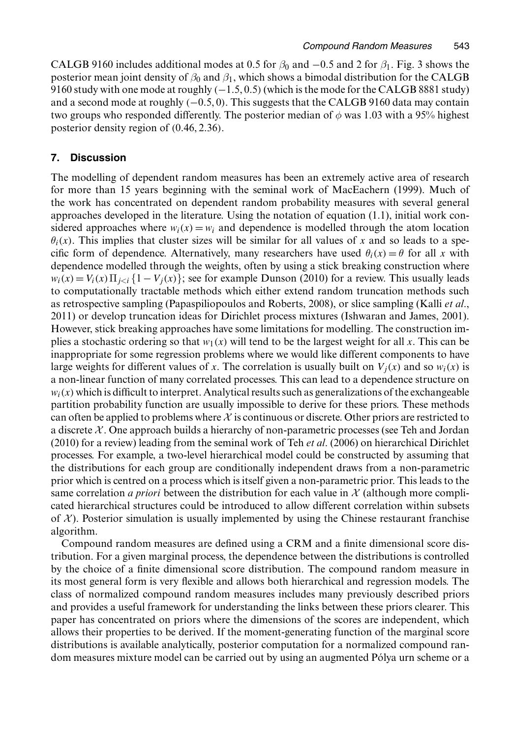CALGB 9160 includes additional modes at 0.5 for  $\beta_0$  and  $-0.5$  and 2 for  $\beta_1$ . Fig. 3 shows the posterior mean joint density of  $\beta_0$  and  $\beta_1$ , which shows a bimodal distribution for the CALGB 9160 study with one mode at roughly  $(-1.5, 0.5)$  (which is the mode for the CALGB 8881 study) and a second mode at roughly  $(-0.5, 0)$ . This suggests that the CALGB 9160 data may contain two groups who responded differently. The posterior median of  $\phi$  was 1.03 with a 95% highest posterior density region of  $(0.46, 2.36)$ .

#### **7. Discussion**

The modelling of dependent random measures has been an extremely active area of research for more than 15 years beginning with the seminal work of MacEachern (1999). Much of the work has concentrated on dependent random probability measures with several general approaches developed in the literature. Using the notation of equation (1.1), initial work considered approaches where  $w_i(x) = w_i$  and dependence is modelled through the atom location  $\theta_i(x)$ . This implies that cluster sizes will be similar for all values of x and so leads to a specific form of dependence. Alternatively, many researchers have used  $\theta_i(x) = \theta$  for all x with dependence modelled through the weights, often by using a stick breaking construction where  $w_i(x) = V_i(x) \prod_{j < i} \{1 - V_j(x)\}\;$  see for example Dunson (2010) for a review. This usually leads to computationally tractable methods which either extend random truncation methods such as retrospective sampling (Papaspiliopoulos and Roberts, 2008), or slice sampling (Kalli *et al*., 2011) or develop truncation ideas for Dirichlet process mixtures (Ishwaran and James, 2001). However, stick breaking approaches have some limitations for modelling. The construction implies a stochastic ordering so that  $w_1(x)$  will tend to be the largest weight for all x. This can be inappropriate for some regression problems where we would like different components to have large weights for different values of x. The correlation is usually built on  $V_i(x)$  and so  $w_i(x)$  is a non-linear function of many correlated processes. This can lead to a dependence structure on  $w_i(x)$  which is difficult to interpret. Analytical results such as generalizations of the exchangeable partition probability function are usually impossible to derive for these priors. These methods can often be applied to problems where  $\chi$  is continuous or discrete. Other priors are restricted to a discrete  $\chi$ . One approach builds a hierarchy of non-parametric processes (see Teh and Jordan (2010) for a review) leading from the seminal work of Teh *et al*. (2006) on hierarchical Dirichlet processes. For example, a two-level hierarchical model could be constructed by assuming that the distributions for each group are conditionally independent draws from a non-parametric prior which is centred on a process which is itself given a non-parametric prior. This leads to the same correlation *a priori* between the distribution for each value in  $\mathcal X$  (although more complicated hierarchical structures could be introduced to allow different correlation within subsets of  $\mathcal{X}$ ). Posterior simulation is usually implemented by using the Chinese restaurant franchise algorithm.

Compound random measures are defined using a CRM and a finite dimensional score distribution. For a given marginal process, the dependence between the distributions is controlled by the choice of a finite dimensional score distribution. The compound random measure in its most general form is very flexible and allows both hierarchical and regression models. The class of normalized compound random measures includes many previously described priors and provides a useful framework for understanding the links between these priors clearer. This paper has concentrated on priors where the dimensions of the scores are independent, which allows their properties to be derived. If the moment-generating function of the marginal score distributions is available analytically, posterior computation for a normalized compound random measures mixture model can be carried out by using an augmented Pólya urn scheme or a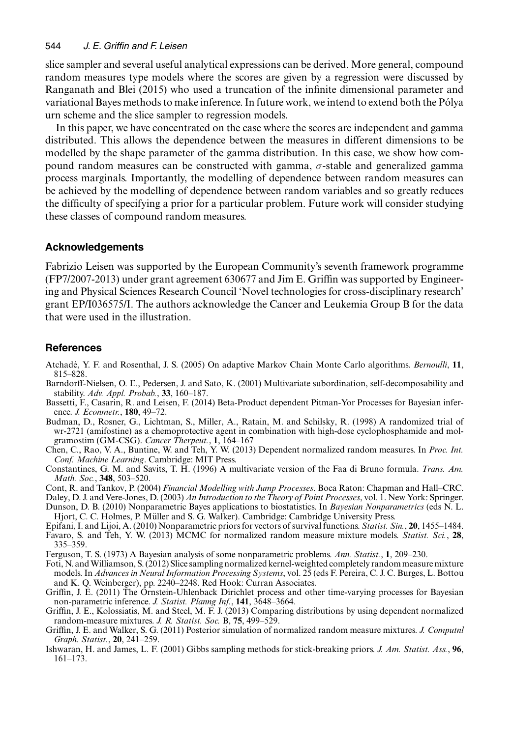slice sampler and several useful analytical expressions can be derived. More general, compound random measures type models where the scores are given by a regression were discussed by Ranganath and Blei (2015) who used a truncation of the infinite dimensional parameter and variational Bayes methods to make inference. In future work, we intend to extend both the Polya ´ urn scheme and the slice sampler to regression models.

In this paper, we have concentrated on the case where the scores are independent and gamma distributed. This allows the dependence between the measures in different dimensions to be modelled by the shape parameter of the gamma distribution. In this case, we show how compound random measures can be constructed with gamma,  $\sigma$ -stable and generalized gamma process marginals. Importantly, the modelling of dependence between random measures can be achieved by the modelling of dependence between random variables and so greatly reduces the difficulty of specifying a prior for a particular problem. Future work will consider studying these classes of compound random measures.

#### **Acknowledgements**

Fabrizio Leisen was supported by the European Community's seventh framework programme (FP7/2007-2013) under grant agreement 630677 and Jim E. Griffin was supported by Engineering and Physical Sciences Research Council 'Novel technologies for cross-disciplinary research' grant EP/I036575/I. The authors acknowledge the Cancer and Leukemia Group B for the data that were used in the illustration.

#### **References**

- Atchade, Y. F. and Rosenthal, J. S. (2005) On adaptive Markov Chain Monte Carlo algorithms. ´ *Bernoulli*, **11**, 815–828.
- Barndorff-Nielsen, O. E., Pedersen, J. and Sato, K. (2001) Multivariate subordination, self-decomposability and stability. *Adv. Appl. Probab.*, **33**, 160–187.
- Bassetti, F., Casarin, R. and Leisen, F. (2014) Beta-Product dependent Pitman-Yor Processes for Bayesian inference. *J. Econmetr.*, **180**, 49–72.
- Budman, D., Rosner, G., Lichtman, S., Miller, A., Ratain, M. and Schilsky, R. (1998) A randomized trial of wr-2721 (amifostine) as a chemoprotective agent in combination with high-dose cyclophosphamide and molgramostim (GM-CSG). *Cancer Therpeut.*, **1**, 164–167
- Chen, C., Rao, V. A., Buntine, W. and Teh, Y. W. (2013) Dependent normalized random measures. In *Proc. Int. Conf. Machine Learning*. Cambridge: MIT Press.
- Constantines, G. M. and Savits, T. H. (1996) A multivariate version of the Faa di Bruno formula. *Trans. Am. Math. Soc.*, **348**, 503–520.
- Cont, R. and Tankov, P. (2004) *Financial Modelling with Jump Processes*. Boca Raton: Chapman and Hall–CRC.
- Daley, D. J. and Vere-Jones, D. (2003) *An Introduction to the Theory of Point Processes*, vol. 1. New York: Springer.
- Dunson, D. B. (2010) Nonparametric Bayes applications to biostatistics. In *Bayesian Nonparametrics* (eds N. L. Hjort, C. C. Holmes, P. Muller and S. G. Walker). Cambridge: Cambridge University Press. ¨
- Epifani, I. and Lijoi, A. (2010) Nonparametric priors for vectors of survival functions. *Statist. Sin.*, **20**, 1455–1484.
- Favaro, S. and Teh, Y. W. (2013) MCMC for normalized random measure mixture models. *Statist. Sci.*, **28**, 335–359.
- Ferguson, T. S. (1973) A Bayesian analysis of some nonparametric problems. *Ann. Statist.*, **1**, 209–230.
- Foti, N. andWilliamson, S. (2012) Slice sampling normalized kernel-weighted completely random measure mixture models. In *Advances in Neural Information Processing Systems*, vol. 25 (eds F. Pereira, C. J. C. Burges, L. Bottou and K. Q. Weinberger), pp. 2240–2248. Red Hook: Curran Associates.
- Griffin, J. E. (2011) The Ornstein-Uhlenback Dirichlet process and other time-varying processes for Bayesian non-parametric inference. *J. Statist. Planng Inf.*, **141**, 3648–3664.
- Griffin, J. E., Kolossiatis, M. and Steel, M. F. J. (2013) Comparing distributions by using dependent normalized random-measure mixtures. *J. R. Statist. Soc.* B, **75**, 499–529.
- Griffin, J. E. and Walker, S. G. (2011) Posterior simulation of normalized random measure mixtures. *J. Computnl Graph. Statist.*, **20**, 241–259.
- Ishwaran, H. and James, L. F. (2001) Gibbs sampling methods for stick-breaking priors. *J. Am. Statist. Ass.*, **96**, 161–173.